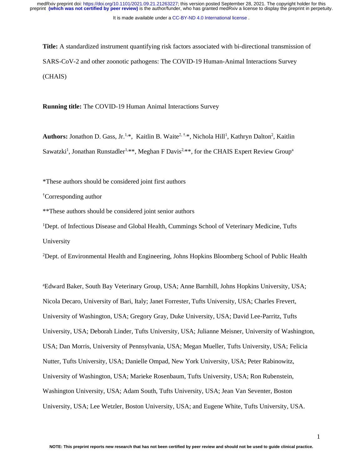It is made available under a [CC-BY-ND 4.0 International license](http://creativecommons.org/licenses/by-nd/4.0/) .

**Title:** A standardized instrument quantifying risk factors associated with bi-directional transmission of SARS-CoV-2 and other zoonotic pathogens: The COVID-19 Human-Animal Interactions Survey (CHAIS)

**Running title:** The COVID-19 Human Animal Interactions Survey

Authors: Jonathon D. Gass, Jr.<sup>1,\*</sup>, Kaitlin B. Waite<sup>2, †,\*</sup>, Nichola Hill<sup>1</sup>, Kathryn Dalton<sup>2</sup>, Kaitlin Sawatzki<sup>1</sup>, Jonathan Runstadler<sup>1,\*\*</sup>, Meghan F Davis<sup>2,\*\*</sup>, for the CHAIS Expert Review Group<sup>a</sup>

\*These authors should be considered joint first authors

†Corresponding author

\*\*These authors should be considered joint senior authors

<sup>1</sup>Dept. of Infectious Disease and Global Health, Cummings School of Veterinary Medicine, Tufts University

<sup>2</sup>Dept. of Environmental Health and Engineering, Johns Hopkins Bloomberg School of Public Health

<sup>a</sup>Edward Baker, South Bay Veterinary Group, USA; Anne Barnhill, Johns Hopkins University, USA; Nicola Decaro, University of Bari, Italy; Janet Forrester, Tufts University, USA; Charles Frevert, University of Washington, USA; Gregory Gray, Duke University, USA; David Lee-Parritz, Tufts University, USA; Deborah Linder, Tufts University, USA; Julianne Meisner, University of Washington, USA; Dan Morris, University of Pennsylvania, USA; Megan Mueller, Tufts University, USA; Felicia Nutter, Tufts University, USA; Danielle Ompad, New York University, USA; Peter Rabinowitz, University of Washington, USA; Marieke Rosenbaum, Tufts University, USA; Ron Rubenstein, Washington University, USA; Adam South, Tufts University, USA; Jean Van Seventer, Boston University, USA; Lee Wetzler, Boston University, USA; and Eugene White, Tufts University, USA.

1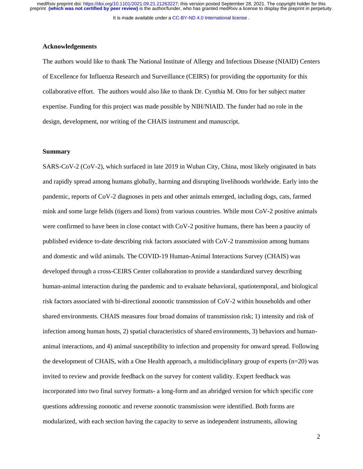It is made available under a [CC-BY-ND 4.0 International license](http://creativecommons.org/licenses/by-nd/4.0/) .

#### **Acknowledgements**

The authors would like to thank The National Institute of Allergy and Infectious Disease (NIAID) Centers of Excellence for Influenza Research and Surveillance (CEIRS) for providing the opportunity for this collaborative effort. The authors would also like to thank Dr. Cynthia M. Otto for her subject matter expertise. Funding for this project was made possible by NIH/NIAID. The funder had no role in the design, development, nor writing of the CHAIS instrument and manuscript.

#### **Summary**

SARS-CoV-2 (CoV-2), which surfaced in late 2019 in Wuhan City, China, most likely originated in bats and rapidly spread among humans globally, harming and disrupting livelihoods worldwide. Early into the pandemic, reports of CoV-2 diagnoses in pets and other animals emerged, including dogs, cats, farmed mink and some large felids (tigers and lions) from various countries. While most CoV-2 positive animals were confirmed to have been in close contact with CoV-2 positive humans, there has been a paucity of published evidence to-date describing risk factors associated with CoV-2 transmission among humans and domestic and wild animals. The COVID-19 Human-Animal Interactions Survey (CHAIS) was developed through a cross-CEIRS Center collaboration to provide a standardized survey describing human-animal interaction during the pandemic and to evaluate behavioral, spatiotemporal, and biological risk factors associated with bi-directional zoonotic transmission of CoV-2 within households and other shared environments. CHAIS measures four broad domains of transmission risk; 1) intensity and risk of infection among human hosts, 2) spatial characteristics of shared environments, 3) behaviors and humananimal interactions, and 4) animal susceptibility to infection and propensity for onward spread. Following the development of CHAIS, with a One Health approach, a multidisciplinary group of experts  $(n=20)$  was invited to review and provide feedback on the survey for content validity. Expert feedback was incorporated into two final survey formats- a long-form and an abridged version for which specific core questions addressing zoonotic and reverse zoonotic transmission were identified. Both forms are modularized, with each section having the capacity to serve as independent instruments, allowing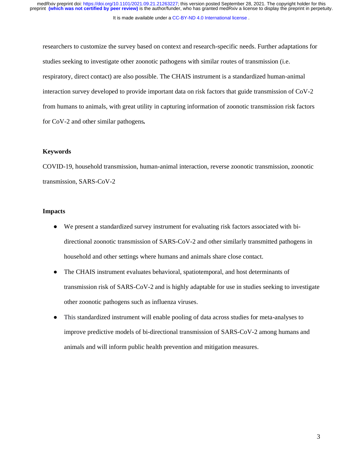#### It is made available under a [CC-BY-ND 4.0 International license](http://creativecommons.org/licenses/by-nd/4.0/) .

researchers to customize the survey based on context and research-specific needs. Further adaptations for studies seeking to investigate other zoonotic pathogens with similar routes of transmission (i.e. respiratory, direct contact) are also possible. The CHAIS instrument is a standardized human-animal interaction survey developed to provide important data on risk factors that guide transmission of CoV-2 from humans to animals, with great utility in capturing information of zoonotic transmission risk factors for CoV-2 and other similar pathogens*.*

#### **Keywords**

COVID-19, household transmission, human-animal interaction, reverse zoonotic transmission, zoonotic transmission, SARS-CoV-2

#### **Impacts**

- We present a standardized survey instrument for evaluating risk factors associated with bidirectional zoonotic transmission of SARS-CoV-2 and other similarly transmitted pathogens in household and other settings where humans and animals share close contact.
- The CHAIS instrument evaluates behavioral, spatiotemporal, and host determinants of transmission risk of SARS-CoV-2 and is highly adaptable for use in studies seeking to investigate other zoonotic pathogens such as influenza viruses.
- This standardized instrument will enable pooling of data across studies for meta-analyses to improve predictive models of bi-directional transmission of SARS-CoV-2 among humans and animals and will inform public health prevention and mitigation measures.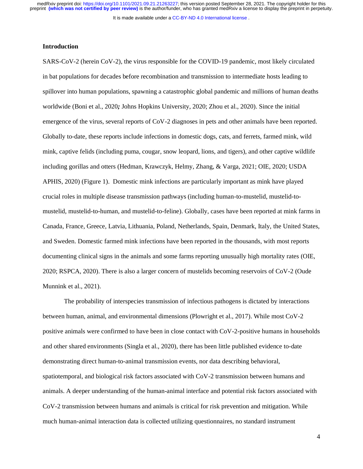It is made available under a [CC-BY-ND 4.0 International license](http://creativecommons.org/licenses/by-nd/4.0/) .

## **Introduction**

SARS-CoV-2 (herein CoV-2), the virus responsible for the COVID-19 pandemic, most likely circulated in bat populations for decades before recombination and transmission to intermediate hosts leading to spillover into human populations, spawning a catastrophic global pandemic and millions of human deaths worldwide (Boni et al., 2020*;* Johns Hopkins University, 2020; Zhou et al., 2020). Since the initial emergence of the virus, several reports of CoV-2 diagnoses in pets and other animals have been reported. Globally to-date, these reports include infections in domestic dogs, cats, and ferrets, farmed mink, wild mink, captive felids (including puma, cougar, snow leopard, lions, and tigers), and other captive wildlife including gorillas and otters (Hedman, Krawczyk, Helmy, Zhang, & Varga, 2021; OIE, 2020; USDA APHIS, 2020) (Figure 1). Domestic mink infections are particularly important as mink have played crucial roles in multiple disease transmission pathways (including human-to-mustelid, mustelid-tomustelid, mustelid-to-human, and mustelid-to-feline). Globally, cases have been reported at mink farms in Canada, France, Greece, Latvia, Lithuania, Poland, Netherlands, Spain, Denmark, Italy, the United States, and Sweden. Domestic farmed mink infections have been reported in the thousands, with most reports documenting clinical signs in the animals and some farms reporting unusually high mortality rates (OIE, 2020; RSPCA, 2020). There is also a larger concern of mustelids becoming reservoirs of CoV-2 (Oude Munnink et al., 2021).

The probability of interspecies transmission of infectious pathogens is dictated by interactions between human, animal, and environmental dimensions (Plowright et al., 2017). While most CoV-2 positive animals were confirmed to have been in close contact with CoV-2-positive humans in households and other shared environments (Singla et al., 2020), there has been little published evidence to-date demonstrating direct human-to-animal transmission events, nor data describing behavioral, spatiotemporal, and biological risk factors associated with CoV-2 transmission between humans and animals. A deeper understanding of the human-animal interface and potential risk factors associated with CoV-2 transmission between humans and animals is critical for risk prevention and mitigation. While much human-animal interaction data is collected utilizing questionnaires, no standard instrument

4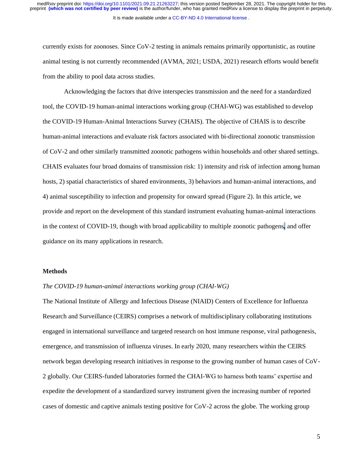It is made available under a [CC-BY-ND 4.0 International license](http://creativecommons.org/licenses/by-nd/4.0/) . medRxiv preprint doi: [https://doi.org/10.1101/2021.09.21.21263227;](https://doi.org/10.1101/2021.09.21.21263227) this version posted September 28, 2021. The copyright holder for this<br>preprint (which was not certified by peer review) is the author/funder, who has grant

currently exists for zoonoses. Since CoV-2 testing in animals remains primarily opportunistic, as routine animal testing is not currently recommended (AVMA, 2021; USDA, 2021) research efforts would benefit from the ability to pool data across studies.

Acknowledging the factors that drive interspecies transmission and the need for a standardized tool, the COVID-19 human-animal interactions working group (CHAI-WG) was established to develop the COVID-19 Human-Animal Interactions Survey (CHAIS). The objective of CHAIS is to describe human-animal interactions and evaluate risk factors associated with bi-directional zoonotic transmission of CoV-2 and other similarly transmitted zoonotic pathogens within households and other shared settings. CHAIS evaluates four broad domains of transmission risk: 1) intensity and risk of infection among human hosts, 2) spatial characteristics of shared environments, 3) behaviors and human-animal interactions, and 4) animal susceptibility to infection and propensity for onward spread (Figure 2). In this article, we provide and report on the development of this standard instrument evaluating human-animal interactions in the context of COVID-19, though with broad applicability to multiple zoonotic pathogens*,* and offer guidance on its many applications in research.

#### **Methods**

## *The COVID-19 human-animal interactions working group (CHAI-WG)*

The National Institute of Allergy and Infectious Disease (NIAID) Centers of Excellence for Influenza Research and Surveillance (CEIRS) comprises a network of multidisciplinary collaborating institutions engaged in international surveillance and targeted research on host immune response, viral pathogenesis, emergence, and transmission of influenza viruses. In early 2020, many researchers within the CEIRS network began developing research initiatives in response to the growing number of human cases of CoV-2 globally. Our CEIRS-funded laboratories formed the CHAI-WG to harness both teams' expertise and expedite the development of a standardized survey instrument given the increasing number of reported cases of domestic and captive animals testing positive for CoV-2 across the globe. The working group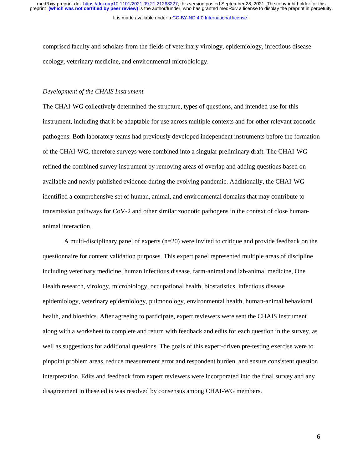It is made available under a [CC-BY-ND 4.0 International license](http://creativecommons.org/licenses/by-nd/4.0/) .

comprised faculty and scholars from the fields of veterinary virology, epidemiology, infectious disease ecology, veterinary medicine, and environmental microbiology.

## *Development of the CHAIS Instrument*

The CHAI-WG collectively determined the structure, types of questions, and intended use for this instrument, including that it be adaptable for use across multiple contexts and for other relevant zoonotic pathogens. Both laboratory teams had previously developed independent instruments before the formation of the CHAI-WG, therefore surveys were combined into a singular preliminary draft. The CHAI-WG refined the combined survey instrument by removing areas of overlap and adding questions based on available and newly published evidence during the evolving pandemic. Additionally, the CHAI-WG identified a comprehensive set of human, animal, and environmental domains that may contribute to transmission pathways for CoV-2 and other similar zoonotic pathogens in the context of close humananimal interaction.

A multi-disciplinary panel of experts (n=20) were invited to critique and provide feedback on the questionnaire for content validation purposes. This expert panel represented multiple areas of discipline including veterinary medicine, human infectious disease, farm-animal and lab-animal medicine, One Health research, virology, microbiology, occupational health, biostatistics, infectious disease epidemiology, veterinary epidemiology, pulmonology, environmental health, human-animal behavioral health, and bioethics. After agreeing to participate, expert reviewers were sent the CHAIS instrument along with a worksheet to complete and return with feedback and edits for each question in the survey, as well as suggestions for additional questions. The goals of this expert-driven pre-testing exercise were to pinpoint problem areas, reduce measurement error and respondent burden, and ensure consistent question interpretation. Edits and feedback from expert reviewers were incorporated into the final survey and any disagreement in these edits was resolved by consensus among CHAI-WG members.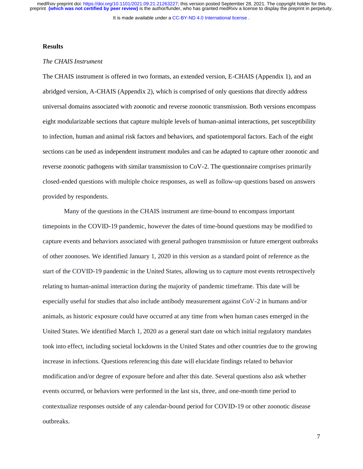It is made available under a [CC-BY-ND 4.0 International license](http://creativecommons.org/licenses/by-nd/4.0/) .

#### **Results**

# *The CHAIS Instrument*

The CHAIS instrument is offered in two formats, an extended version, E-CHAIS (Appendix 1), and an abridged version, A-CHAIS (Appendix 2), which is comprised of only questions that directly address universal domains associated with zoonotic and reverse zoonotic transmission. Both versions encompass eight modularizable sections that capture multiple levels of human-animal interactions, pet susceptibility to infection, human and animal risk factors and behaviors, and spatiotemporal factors. Each of the eight sections can be used as independent instrument modules and can be adapted to capture other zoonotic and reverse zoonotic pathogens with similar transmission to CoV-2. The questionnaire comprises primarily closed-ended questions with multiple choice responses, as well as follow-up questions based on answers provided by respondents.

Many of the questions in the CHAIS instrument are time-bound to encompass important timepoints in the COVID-19 pandemic, however the dates of time-bound questions may be modified to capture events and behaviors associated with general pathogen transmission or future emergent outbreaks of other zoonoses. We identified January 1, 2020 in this version as a standard point of reference as the start of the COVID-19 pandemic in the United States, allowing us to capture most events retrospectively relating to human-animal interaction during the majority of pandemic timeframe. This date will be especially useful for studies that also include antibody measurement against CoV-2 in humans and/or animals, as historic exposure could have occurred at any time from when human cases emerged in the United States. We identified March 1, 2020 as a general start date on which initial regulatory mandates took into effect, including societal lockdowns in the United States and other countries due to the growing increase in infections. Questions referencing this date will elucidate findings related to behavior modification and/or degree of exposure before and after this date. Several questions also ask whether events occurred, or behaviors were performed in the last six, three, and one-month time period to contextualize responses outside of any calendar-bound period for COVID-19 or other zoonotic disease outbreaks.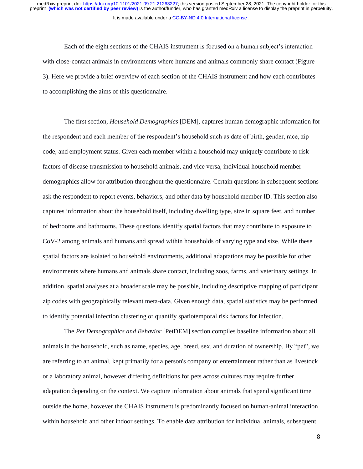Each of the eight sections of the CHAIS instrument is focused on a human subject's interaction with close-contact animals in environments where humans and animals commonly share contact (Figure 3). Here we provide a brief overview of each section of the CHAIS instrument and how each contributes to accomplishing the aims of this questionnaire.

The first section, *Household Demographics* [DEM], captures human demographic information for the respondent and each member of the respondent's household such as date of birth, gender, race, zip code, and employment status. Given each member within a household may uniquely contribute to risk factors of disease transmission to household animals, and vice versa, individual household member demographics allow for attribution throughout the questionnaire. Certain questions in subsequent sections ask the respondent to report events, behaviors, and other data by household member ID. This section also captures information about the household itself, including dwelling type, size in square feet, and number of bedrooms and bathrooms. These questions identify spatial factors that may contribute to exposure to CoV-2 among animals and humans and spread within households of varying type and size. While these spatial factors are isolated to household environments, additional adaptations may be possible for other environments where humans and animals share contact, including zoos, farms, and veterinary settings. In addition, spatial analyses at a broader scale may be possible, including descriptive mapping of participant zip codes with geographically relevant meta-data. Given enough data, spatial statistics may be performed to identify potential infection clustering or quantify spatiotemporal risk factors for infection.

The *Pet Demographics and Behavior* [PetDEM] section compiles baseline information about all animals in the household, such as name, species, age, breed, sex, and duration of ownership. By "pet", we are referring to an animal, kept primarily for a person's company or entertainment rather than as livestock or a laboratory animal, however differing definitions for pets across cultures may require further adaptation depending on the context. We capture information about animals that spend significant time outside the home, however the CHAIS instrument is predominantly focused on human-animal interaction within household and other indoor settings. To enable data attribution for individual animals, subsequent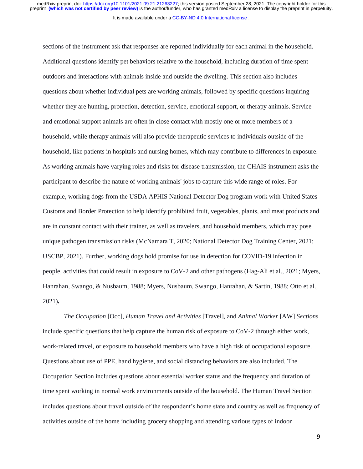It is made available under a [CC-BY-ND 4.0 International license](http://creativecommons.org/licenses/by-nd/4.0/) .

sections of the instrument ask that responses are reported individually for each animal in the household. Additional questions identify pet behaviors relative to the household, including duration of time spent outdoors and interactions with animals inside and outside the dwelling. This section also includes questions about whether individual pets are working animals, followed by specific questions inquiring whether they are hunting, protection, detection, service, emotional support, or therapy animals. Service and emotional support animals are often in close contact with mostly one or more members of a household, while therapy animals will also provide therapeutic services to individuals outside of the household, like patients in hospitals and nursing homes, which may contribute to differences in exposure. As working animals have varying roles and risks for disease transmission, the CHAIS instrument asks the participant to describe the nature of working animals' jobs to capture this wide range of roles. For example, working dogs from the USDA APHIS National Detector Dog program work with United States Customs and Border Protection to help identify prohibited fruit, vegetables, plants, and meat products and are in constant contact with their trainer, as well as travelers, and household members, which may pose unique pathogen transmission risks (McNamara T, 2020; National Detector Dog Training Center, 2021; USCBP, 2021). Further, working dogs hold promise for use in detection for COVID-19 infection in people, activities that could result in exposure to CoV-2 and other pathogens (Hag-Ali et al., 2021; Myers, Hanrahan, Swango, & Nusbaum, 1988; Myers, Nusbaum, Swango, Hanrahan, & Sartin, 1988; Otto et al., 2021)*.*

*The Occupation* [Occ], *Human Travel and Activities* [Travel], and *Animal Worker* [AW] *Sections* include specific questions that help capture the human risk of exposure to CoV-2 through either work, work-related travel, or exposure to household members who have a high risk of occupational exposure. Questions about use of PPE, hand hygiene, and social distancing behaviors are also included. The Occupation Section includes questions about essential worker status and the frequency and duration of time spent working in normal work environments outside of the household. The Human Travel Section includes questions about travel outside of the respondent's home state and country as well as frequency of activities outside of the home including grocery shopping and attending various types of indoor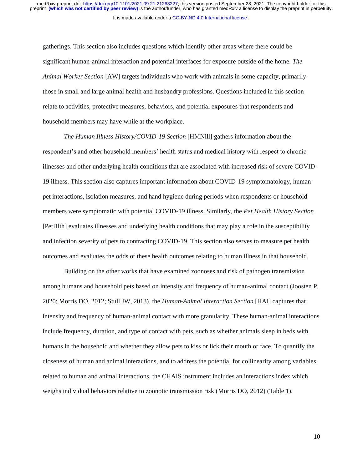It is made available under a [CC-BY-ND 4.0 International license](http://creativecommons.org/licenses/by-nd/4.0/) .

gatherings. This section also includes questions which identify other areas where there could be significant human-animal interaction and potential interfaces for exposure outside of the home. *The Animal Worker Section* [AW] targets individuals who work with animals in some capacity, primarily those in small and large animal health and husbandry professions. Questions included in this section relate to activities, protective measures, behaviors, and potential exposures that respondents and household members may have while at the workplace.

*The Human Illness History/COVID-19 Section* [HMNill] gathers information about the respondent's and other household members' health status and medical history with respect to chronic illnesses and other underlying health conditions that are associated with increased risk of severe COVID-19 illness. This section also captures important information about COVID-19 symptomatology, humanpet interactions, isolation measures, and hand hygiene during periods when respondents or household members were symptomatic with potential COVID-19 illness. Similarly, the *Pet Health History Section* [PetHlth] evaluates illnesses and underlying health conditions that may play a role in the susceptibility and infection severity of pets to contracting COVID-19. This section also serves to measure pet health outcomes and evaluates the odds of these health outcomes relating to human illness in that household.

Building on the other works that have examined zoonoses and risk of pathogen transmission among humans and household pets based on intensity and frequency of human-animal contact (Joosten P, 2020; Morris DO, 2012; Stull JW, 2013), the *Human-Animal Interaction Section* [HAI] captures that intensity and frequency of human-animal contact with more granularity. These human-animal interactions include frequency, duration, and type of contact with pets, such as whether animals sleep in beds with humans in the household and whether they allow pets to kiss or lick their mouth or face. To quantify the closeness of human and animal interactions, and to address the potential for collinearity among variables related to human and animal interactions, the CHAIS instrument includes an interactions index which weighs individual behaviors relative to zoonotic transmission risk (Morris DO, 2012) (Table 1).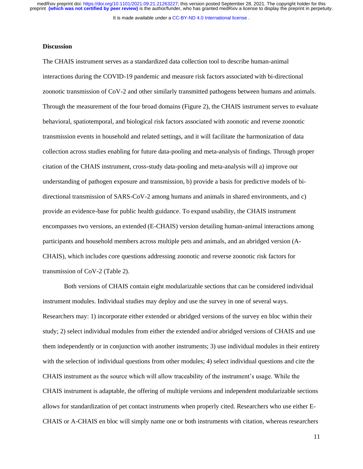It is made available under a [CC-BY-ND 4.0 International license](http://creativecommons.org/licenses/by-nd/4.0/) .

#### **Discussion**

The CHAIS instrument serves as a standardized data collection tool to describe human-animal interactions during the COVID-19 pandemic and measure risk factors associated with bi-directional zoonotic transmission of CoV-2 and other similarly transmitted pathogens between humans and animals. Through the measurement of the four broad domains (Figure 2), the CHAIS instrument serves to evaluate behavioral, spatiotemporal, and biological risk factors associated with zoonotic and reverse zoonotic transmission events in household and related settings, and it will facilitate the harmonization of data collection across studies enabling for future data-pooling and meta-analysis of findings. Through proper citation of the CHAIS instrument, cross-study data-pooling and meta-analysis will a) improve our understanding of pathogen exposure and transmission, b) provide a basis for predictive models of bidirectional transmission of SARS-CoV-2 among humans and animals in shared environments, and c) provide an evidence-base for public health guidance. To expand usability, the CHAIS instrument encompasses two versions, an extended (E-CHAIS) version detailing human-animal interactions among participants and household members across multiple pets and animals, and an abridged version (A-CHAIS), which includes core questions addressing zoonotic and reverse zoonotic risk factors for transmission of CoV-2 (Table 2).

Both versions of CHAIS contain eight modularizable sections that can be considered individual instrument modules. Individual studies may deploy and use the survey in one of several ways. Researchers may: 1) incorporate either extended or abridged versions of the survey en bloc within their study; 2) select individual modules from either the extended and/or abridged versions of CHAIS and use them independently or in conjunction with another instruments; 3) use individual modules in their entirety with the selection of individual questions from other modules; 4) select individual questions and cite the CHAIS instrument as the source which will allow traceability of the instrument's usage. While the CHAIS instrument is adaptable, the offering of multiple versions and independent modularizable sections allows for standardization of pet contact instruments when properly cited. Researchers who use either E-CHAIS or A-CHAIS en bloc will simply name one or both instruments with citation, whereas researchers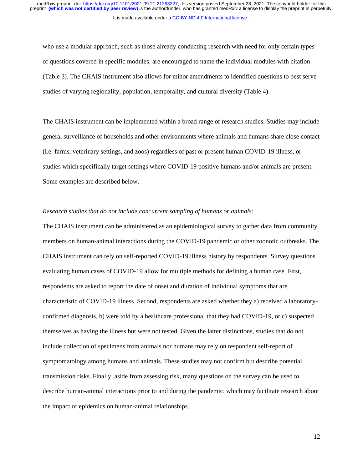It is made available under a [CC-BY-ND 4.0 International license](http://creativecommons.org/licenses/by-nd/4.0/) .

who use a modular approach, such as those already conducting research with need for only certain types of questions covered in specific modules, are encouraged to name the individual modules with citation (Table 3). The CHAIS instrument also allows for minor amendments to identified questions to best serve studies of varying regionality, population, temporality, and cultural diversity (Table 4).

The CHAIS instrument can be implemented within a broad range of research studies. Studies may include general surveillance of households and other environments where animals and humans share close contact (i.e. farms, veterinary settings, and zoos) regardless of past or present human COVID-19 illness, or studies which specifically target settings where COVID-19 positive humans and/or animals are present. Some examples are described below.

# *Research studies that do not include concurrent sampling of humans or animals:*

The CHAIS instrument can be administered as an epidemiological survey to gather data from community members on human-animal interactions during the COVID-19 pandemic or other zoonotic outbreaks. The CHAIS instrument can rely on self-reported COVID-19 illness history by respondents. Survey questions evaluating human cases of COVID-19 allow for multiple methods for defining a human case. First, respondents are asked to report the date of onset and duration of individual symptoms that are characteristic of COVID-19 illness. Second, respondents are asked whether they a) received a laboratoryconfirmed diagnosis, b) were told by a healthcare professional that they had COVID-19, or c) suspected themselves as having the illness but were not tested. Given the latter distinctions, studies that do not include collection of specimens from animals nor humans may rely on respondent self-report of symptomatology among humans and animals. These studies may not confirm but describe potential transmission risks. Finally, aside from assessing risk, many questions on the survey can be used to describe human-animal interactions prior to and during the pandemic, which may facilitate research about the impact of epidemics on human-animal relationships.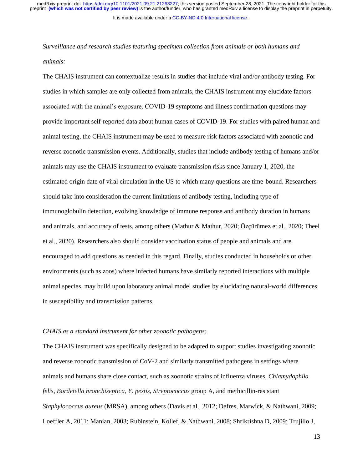It is made available under a [CC-BY-ND 4.0 International license](http://creativecommons.org/licenses/by-nd/4.0/) .

*Surveillance and research studies featuring specimen collection from animals or both humans and animals:*

The CHAIS instrument can contextualize results in studies that include viral and/or antibody testing. For studies in which samples are only collected from animals, the CHAIS instrument may elucidate factors associated with the animal's exposure. COVID-19 symptoms and illness confirmation questions may provide important self-reported data about human cases of COVID-19. For studies with paired human and animal testing, the CHAIS instrument may be used to measure risk factors associated with zoonotic and reverse zoonotic transmission events. Additionally, studies that include antibody testing of humans and/or animals may use the CHAIS instrument to evaluate transmission risks since January 1, 2020, the estimated origin date of viral circulation in the US to which many questions are time-bound. Researchers should take into consideration the current limitations of antibody testing, including type of immunoglobulin detection, evolving knowledge of immune response and antibody duration in humans and animals, and accuracy of tests, among others (Mathur & Mathur, 2020; Özçürümez et al., 2020; Theel et al., 2020). Researchers also should consider vaccination status of people and animals and are encouraged to add questions as needed in this regard. Finally, studies conducted in households or other environments (such as zoos) where infected humans have similarly reported interactions with multiple animal species, may build upon laboratory animal model studies by elucidating natural-world differences in susceptibility and transmission patterns.

#### *CHAIS as a standard instrument for other zoonotic pathogens:*

The CHAIS instrument was specifically designed to be adapted to support studies investigating zoonotic and reverse zoonotic transmission of CoV-2 and similarly transmitted pathogens in settings where animals and humans share close contact, such as zoonotic strains of influenza viruses, *Chlamydophila felis*, *Bordetella bronchiseptica, Y. pestis*, *Streptococcus* group A, and methicillin-resistant *Staphylococcus aureus* (MRSA), among others (Davis et al., 2012; Defres, Marwick, & Nathwani, 2009; Loeffler A, 2011; Manian, 2003; Rubinstein, Kollef, & Nathwani, 2008; Shrikrishna D, 2009; Trujillo J,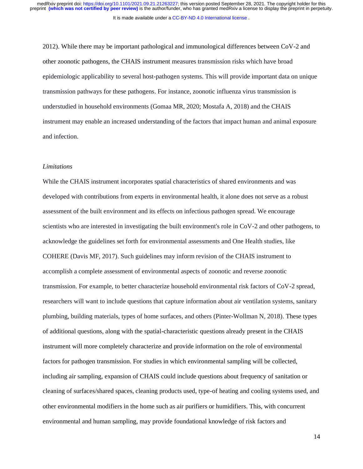It is made available under a [CC-BY-ND 4.0 International license](http://creativecommons.org/licenses/by-nd/4.0/) .

2012). While there may be important pathological and immunological differences between CoV-2 and other zoonotic pathogens, the CHAIS instrument measures transmission risks which have broad epidemiologic applicability to several host-pathogen systems. This will provide important data on unique transmission pathways for these pathogens. For instance, zoonotic influenza virus transmission is understudied in household environments (Gomaa MR, 2020; Mostafa A, 2018) and the CHAIS instrument may enable an increased understanding of the factors that impact human and animal exposure and infection.

## *Limitations*

While the CHAIS instrument incorporates spatial characteristics of shared environments and was developed with contributions from experts in environmental health, it alone does not serve as a robust assessment of the built environment and its effects on infectious pathogen spread. We encourage scientists who are interested in investigating the built environment's role in CoV-2 and other pathogens, to acknowledge the guidelines set forth for environmental assessments and One Health studies, like COHERE (Davis MF, 2017). Such guidelines may inform revision of the CHAIS instrument to accomplish a complete assessment of environmental aspects of zoonotic and reverse zoonotic transmission. For example, to better characterize household environmental risk factors of CoV-2 spread, researchers will want to include questions that capture information about air ventilation systems, sanitary plumbing, building materials, types of home surfaces, and others (Pinter-Wollman N, 2018). These types of additional questions, along with the spatial-characteristic questions already present in the CHAIS instrument will more completely characterize and provide information on the role of environmental factors for pathogen transmission. For studies in which environmental sampling will be collected, including air sampling, expansion of CHAIS could include questions about frequency of sanitation or cleaning of surfaces/shared spaces, cleaning products used, type-of heating and cooling systems used, and other environmental modifiers in the home such as air purifiers or humidifiers. This, with concurrent environmental and human sampling, may provide foundational knowledge of risk factors and

14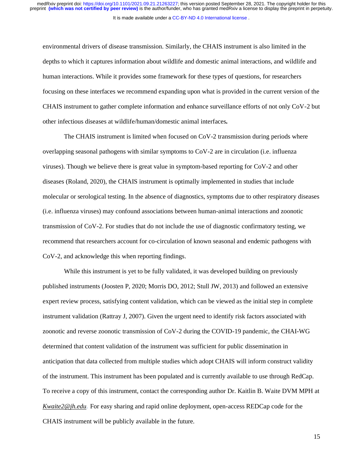environmental drivers of disease transmission. Similarly, the CHAIS instrument is also limited in the depths to which it captures information about wildlife and domestic animal interactions, and wildlife and human interactions. While it provides some framework for these types of questions, for researchers focusing on these interfaces we recommend expanding upon what is provided in the current version of the CHAIS instrument to gather complete information and enhance surveillance efforts of not only CoV-2 but other infectious diseases at wildlife/human/domestic animal interfaces*.* 

The CHAIS instrument is limited when focused on CoV-2 transmission during periods where overlapping seasonal pathogens with similar symptoms to CoV-2 are in circulation (i.e. influenza viruses). Though we believe there is great value in symptom-based reporting for CoV-2 and other diseases (Roland, 2020), the CHAIS instrument is optimally implemented in studies that include molecular or serological testing. In the absence of diagnostics, symptoms due to other respiratory diseases (i.e. influenza viruses) may confound associations between human-animal interactions and zoonotic transmission of CoV-2. For studies that do not include the use of diagnostic confirmatory testing, we recommend that researchers account for co-circulation of known seasonal and endemic pathogens with CoV-2, and acknowledge this when reporting findings.

While this instrument is yet to be fully validated, it was developed building on previously published instruments (Joosten P, 2020; Morris DO, 2012; Stull JW, 2013) and followed an extensive expert review process, satisfying content validation, which can be viewed as the initial step in complete instrument validation (Rattray J, 2007). Given the urgent need to identify risk factors associated with zoonotic and reverse zoonotic transmission of CoV-2 during the COVID-19 pandemic, the CHAI-WG determined that content validation of the instrument was sufficient for public dissemination in anticipation that data collected from multiple studies which adopt CHAIS will inform construct validity of the instrument. This instrument has been populated and is currently available to use through RedCap. To receive a copy of this instrument, contact the corresponding author Dr. Kaitlin B. Waite DVM MPH at *[Kwaite2@jh.edu](mailto:Kwaite2@jh.edu).* For easy sharing and rapid online deployment, open-access REDCap code for the CHAIS instrument will be publicly available in the future.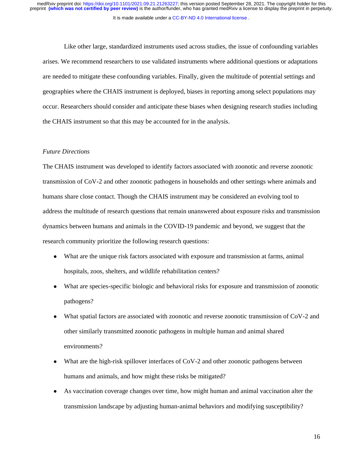It is made available under a [CC-BY-ND 4.0 International license](http://creativecommons.org/licenses/by-nd/4.0/) . preprint **(which was not certified by peer review)** is the author/funder, who has granted medRxiv a license to display the preprint in perpetuity. medRxiv preprint doi: [https://doi.org/10.1101/2021.09.21.21263227;](https://doi.org/10.1101/2021.09.21.21263227) this version posted September 28, 2021. The copyright holder for this

Like other large, standardized instruments used across studies, the issue of confounding variables arises. We recommend researchers to use validated instruments where additional questions or adaptations are needed to mitigate these confounding variables. Finally, given the multitude of potential settings and geographies where the CHAIS instrument is deployed, biases in reporting among select populations may occur. Researchers should consider and anticipate these biases when designing research studies including the CHAIS instrument so that this may be accounted for in the analysis.

#### *Future Directions*

The CHAIS instrument was developed to identify factors associated with zoonotic and reverse zoonotic transmission of CoV-2 and other zoonotic pathogens in households and other settings where animals and humans share close contact. Though the CHAIS instrument may be considered an evolving tool to address the multitude of research questions that remain unanswered about exposure risks and transmission dynamics between humans and animals in the COVID-19 pandemic and beyond, we suggest that the research community prioritize the following research questions:

- What are the unique risk factors associated with exposure and transmission at farms, animal hospitals, zoos, shelters, and wildlife rehabilitation centers?
- What are species-specific biologic and behavioral risks for exposure and transmission of zoonotic pathogens?
- What spatial factors are associated with zoonotic and reverse zoonotic transmission of CoV-2 and other similarly transmitted zoonotic pathogens in multiple human and animal shared environments?
- What are the high-risk spillover interfaces of CoV-2 and other zoonotic pathogens between humans and animals, and how might these risks be mitigated?
- As vaccination coverage changes over time, how might human and animal vaccination alter the transmission landscape by adjusting human-animal behaviors and modifying susceptibility?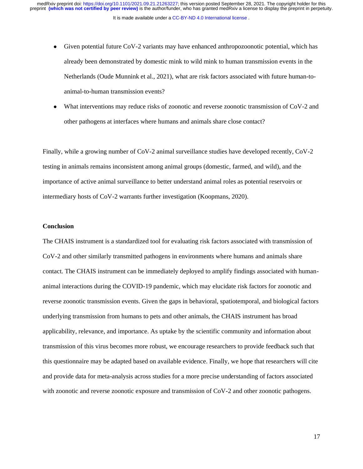It is made available under a [CC-BY-ND 4.0 International license](http://creativecommons.org/licenses/by-nd/4.0/) . medRxiv preprint doi: [https://doi.org/10.1101/2021.09.21.21263227;](https://doi.org/10.1101/2021.09.21.21263227) this version posted September 28, 2021. The copyright holder for this<br>preprint (which was not certified by peer review) is the author/funder, who has grant

- Given potential future CoV-2 variants may have enhanced anthropozoonotic potential, which has already been demonstrated by domestic mink to wild mink to human transmission events in the Netherlands (Oude Munnink et al., 2021), what are risk factors associated with future human-toanimal-to-human transmission events?
- What interventions may reduce risks of zoonotic and reverse zoonotic transmission of CoV-2 and other pathogens at interfaces where humans and animals share close contact?

Finally, while a growing number of CoV-2 animal surveillance studies have developed recently, CoV-2 testing in animals remains inconsistent among animal groups (domestic, farmed, and wild), and the importance of active animal surveillance to better understand animal roles as potential reservoirs or intermediary hosts of CoV-2 warrants further investigation (Koopmans, 2020).

## **Conclusion**

The CHAIS instrument is a standardized tool for evaluating risk factors associated with transmission of CoV-2 and other similarly transmitted pathogens in environments where humans and animals share contact. The CHAIS instrument can be immediately deployed to amplify findings associated with humananimal interactions during the COVID-19 pandemic, which may elucidate risk factors for zoonotic and reverse zoonotic transmission events. Given the gaps in behavioral, spatiotemporal, and biological factors underlying transmission from humans to pets and other animals, the CHAIS instrument has broad applicability, relevance, and importance. As uptake by the scientific community and information about transmission of this virus becomes more robust, we encourage researchers to provide feedback such that this questionnaire may be adapted based on available evidence. Finally, we hope that researchers will cite and provide data for meta-analysis across studies for a more precise understanding of factors associated with zoonotic and reverse zoonotic exposure and transmission of CoV-2 and other zoonotic pathogens.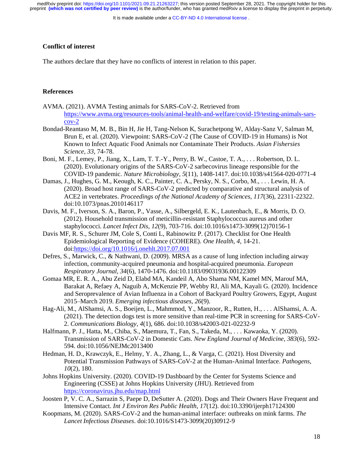It is made available under a [CC-BY-ND 4.0 International license](http://creativecommons.org/licenses/by-nd/4.0/) .

#### **Conflict of interest**

The authors declare that they have no conflicts of interest in relation to this paper.

#### **References**

- AVMA. (2021). AVMA Testing animals for SARS-CoV-2. Retrieved from [https://www.avma.org/resources-tools/animal-health-and-welfare/covid-19/testing-animals-sars](https://www.avma.org/resources-tools/animal-health-and-welfare/covid-19/testing-animals-sars-cov-2) $cov-2$
- Bondad-Reantaso M, M. B., Bin H, Jie H, Tang-Nelson K, Surachetpong W, Alday-Sanz V, Salman M, Brun E, et al. (2020). Viewpoint: SARS-CoV-2 (The Cause of COVID-19 in Humans) is Not Known to Infect Aquatic Food Animals nor Contaminate Their Products. *Asian Fishersies Science, 33*, 74-78.
- Boni, M. F., Lemey, P., Jiang, X., Lam, T. T.-Y., Perry, B. W., Castoe, T. A., . . . Robertson, D. L. (2020). Evolutionary origins of the SARS-CoV-2 sarbecovirus lineage responsible for the COVID-19 pandemic. *Nature Microbiology, 5*(11), 1408-1417. doi:10.1038/s41564-020-0771-4
- Damas, J., Hughes, G. M., Keough, K. C., Painter, C. A., Persky, N. S., Corbo, M., . . . Lewin, H. A. (2020). Broad host range of SARS-CoV-2 predicted by comparative and structural analysis of ACE2 in vertebrates. *Proceedings of the National Academy of Sciences, 117*(36), 22311-22322. doi:10.1073/pnas.2010146117
- Davis, M. F., Iverson, S. A., Baron, P., Vasse, A., Silbergeld, E. K., Lautenbach, E., & Morris, D. O. (2012). Household transmission of meticillin-resistant Staphylococcus aureus and other staphylococci. *Lancet Infect Dis, 12*(9), 703-716. doi:10.1016/s1473-3099(12)70156-1
- Davis MF, R. S., Schurer JM, Cole S, Conti L, Rabinowitz P. (2017). Checklist for One Health Epidemiological Reporting of Evidence (COHERE). *One Health, 4*, 14-21. doi[:https://doi.org/10.1016/j.onehlt.2017.07.001](https://doi.org/10.1016/j.onehlt.2017.07.001)
- Defres, S., Marwick, C., & Nathwani, D. (2009). MRSA as a cause of lung infection including airway infection, community-acquired pneumonia and hospital-acquired pneumonia. *European Respiratory Journal, 34*(6), 1470-1476. doi:10.1183/09031936.00122309
- Gomaa MR, E. R. A., Abu Zeid D, Elabd MA, Kandeil A, Abo Shama NM, Kamel MN, Marouf MA, Barakat A, Refaey A, Naguib A, McKenzie PP, Webby RJ, Ali MA, Kayali G. (2020). Incidence and Seroprevalence of Avian Influenza in a Cohort of Backyard Poultry Growers, Egypt, August 2015–March 2019. *Emerging infectious diseases, 26*(9).
- Hag-Ali, M., AlShamsi, A. S., Boeijen, L., Mahmmod, Y., Manzoor, R., Rutten, H., . . . AlShamsi, A. A. (2021). The detection dogs test is more sensitive than real-time PCR in screening for SARS-CoV-2. *Communications Biology, 4*(1), 686. doi:10.1038/s42003-021-02232-9
- Halfmann, P. J., Hatta, M., Chiba, S., Maemura, T., Fan, S., Takeda, M., . . . Kawaoka, Y. (2020). Transmission of SARS-CoV-2 in Domestic Cats. *New England Journal of Medicine, 383*(6), 592- 594. doi:10.1056/NEJMc2013400
- Hedman, H. D., Krawczyk, E., Helmy, Y. A., Zhang, L., & Varga, C. (2021). Host Diversity and Potential Transmission Pathways of SARS-CoV-2 at the Human-Animal Interface. *Pathogens, 10*(2), 180.
- Johns Hopkins University. (2020). COVID-19 Dashboard by the Center for Systems Science and Engineering (CSSE) at Johns Hopkins University (JHU). Retrieved from <https://coronavirus.jhu.edu/map.html>
- Joosten P, V. C. A., Sarrazin S, Paepe D, DeSutter A. (2020). Dogs and Their Owners Have Frequent and Intensive Contact. *Int J Environ Res Public Health, 17*(12). doi:10.3390/ijerph17124300
- Koopmans, M. (2020). SARS-CoV-2 and the human-animal interface: outbreaks on mink farms. *The Lancet Infectious Diseases*. doi:10.1016/S1473-3099(20)30912-9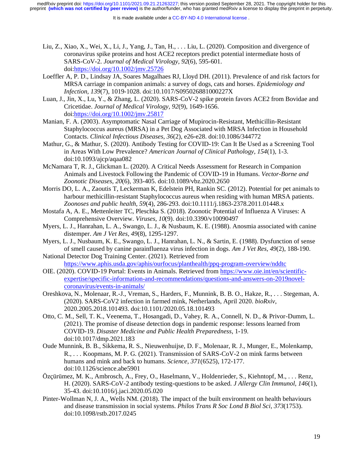- Liu, Z., Xiao, X., Wei, X., Li, J., Yang, J., Tan, H., . . . Liu, L. (2020). Composition and divergence of coronavirus spike proteins and host ACE2 receptors predict potential intermediate hosts of SARS-CoV-2. *Journal of Medical Virology, 92*(6), 595-601. doi[:https://doi.org/10.1002/jmv.25726](https://doi.org/10.1002/jmv.25726)
- Loeffler A, P. D., Lindsay JA, Soares Magalhaes RJ, Lloyd DH. (2011). Prevalence of and risk factors for MRSA carriage in companion animals: a survey of dogs, cats and horses. *Epidemiology and Infection, 139*(7), 1019-1028. doi:10.1017/S095026881000227X
- Luan, J., Jin, X., Lu, Y., & Zhang, L. (2020). SARS-CoV-2 spike protein favors ACE2 from Bovidae and Cricetidae. *Journal of Medical Virology, 92*(9), 1649-1656. doi[:https://doi.org/10.1002/jmv.25817](https://doi.org/10.1002/jmv.25817)
- Manian, F. A. (2003). Asymptomatic Nasal Carriage of Mupirocin-Resistant, Methicillin-Resistant Staphylococcus aureus (MRSA) in a Pet Dog Associated with MRSA Infection in Household Contacts. *Clinical Infectious Diseases, 36*(2), e26-e28. doi:10.1086/344772
- Mathur, G., & Mathur, S. (2020). Antibody Testing for COVID-19: Can It Be Used as a Screening Tool in Areas With Low Prevalence? *American Journal of Clinical Pathology, 154*(1), 1-3. doi:10.1093/ajcp/aqaa082
- McNamara T, R. J., Glickman L. (2020). A Critical Needs Assessment for Research in Companion Animals and Livestock Following the Pandemic of COVID-19 in Humans. *Vector-Borne and Zoonotic Diseases, 20*(6), 393-405. doi:10.1089/vbz.2020.2650
- Morris DO, L. A., Zaoutis T, Leckerman K, Edelstein PH, Rankin SC. (2012). Potential for pet animals to harbour methicillin-resistant Staphylococcus aureus when residing with human MRSA patients. *Zoonoses and public health, 59*(4), 286-293. doi:10.1111/j.1863-2378.2011.01448.x
- Mostafa A, A. E., Mettenleiter TC, Pleschka S. (2018). Zoonotic Potential of Influenza A Viruses: A Comprehensive Overview. *Viruses, 10*(9). doi:10.3390/v10090497
- Myers, L. J., Hanrahan, L. A., Swango, L. J., & Nusbaum, K. E. (1988). Anosmia associated with canine distemper. *Am J Vet Res, 49*(8), 1295-1297.
- Myers, L. J., Nusbaum, K. E., Swango, L. J., Hanrahan, L. N., & Sartin, E. (1988). Dysfunction of sense of smell caused by canine parainfluenza virus infection in dogs. *Am J Vet Res, 49*(2), 188-190.
- National Detector Dog Training Center. (2021). Retrieved from <https://www.aphis.usda.gov/aphis/ourfocus/planthealth/ppq-program-overview/nddtc>
- OIE. (2020). COVID-19 Portal: Events in Animals. Retrieved from [https://www.oie.int/en/scientific](https://www.oie.int/en/scientific-expertise/specific-information-and-recommendations/questions-and-answers-on-2019novel-coronavirus/events-in-animals/)[expertise/specific-information-and-recommendations/questions-and-answers-on-2019novel](https://www.oie.int/en/scientific-expertise/specific-information-and-recommendations/questions-and-answers-on-2019novel-coronavirus/events-in-animals/)[coronavirus/events-in-animals/](https://www.oie.int/en/scientific-expertise/specific-information-and-recommendations/questions-and-answers-on-2019novel-coronavirus/events-in-animals/)
- Oreshkova, N., Molenaar, R.-J., Vreman, S., Harders, F., Munnink, B. B. O., Hakze, R., . . . Stegeman, A. (2020). SARS-CoV2 infection in farmed mink, Netherlands, April 2020. *bioRxiv*, 2020.2005.2018.101493. doi:10.1101/2020.05.18.101493
- Otto, C. M., Sell, T. K., Veenema, T., Hosangadi, D., Vahey, R. A., Connell, N. D., & Privor-Dumm, L. (2021). The promise of disease detection dogs in pandemic response: lessons learned from COVID-19. *Disaster Medicine and Public Health Preparedness*, 1-19. doi:10.1017/dmp.2021.183
- Oude Munnink, B. B., Sikkema, R. S., Nieuwenhuijse, D. F., Molenaar, R. J., Munger, E., Molenkamp, R., . . . Koopmans, M. P. G. (2021). Transmission of SARS-CoV-2 on mink farms between humans and mink and back to humans. *Science, 371*(6525), 172-177. doi:10.1126/science.abe5901
- Özçürümez, M. K., Ambrosch, A., Frey, O., Haselmann, V., Holdenrieder, S., Kiehntopf, M., . . . Renz, H. (2020). SARS-CoV-2 antibody testing-questions to be asked. *J Allergy Clin Immunol, 146*(1), 35-43. doi:10.1016/j.jaci.2020.05.020
- Pinter-Wollman N, J. A., Wells NM. (2018). The impact of the built environment on health behaviours and disease transmission in social systems. *Philos Trans R Soc Lond B Biol Sci, 373*(1753). doi:10.1098/rstb.2017.0245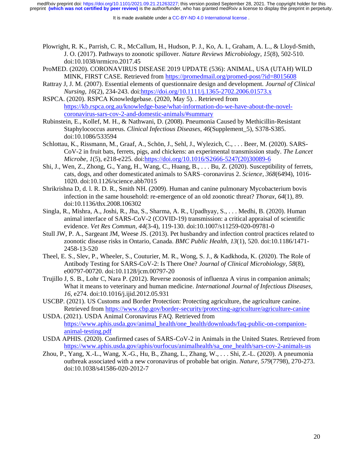- Plowright, R. K., Parrish, C. R., McCallum, H., Hudson, P. J., Ko, A. I., Graham, A. L., & Lloyd-Smith, J. O. (2017). Pathways to zoonotic spillover. *Nature Reviews Microbiology, 15*(8), 502-510. doi:10.1038/nrmicro.2017.45
- ProMED. (2020). CORONAVIRUS DISEASE 2019 UPDATE (536): ANIMAL, USA (UTAH) WILD MINK, FIRST CASE. Retrieved from<https://promedmail.org/promed-post/?id=8015608>
- Rattray J, J. M. (2007). Essential elements of questionnaire design and development. *Journal of Clinical Nursing, 16*(2), 234-243. doi[:https://doi.org/10.1111/j.1365-2702.2006.01573.x](https://doi.org/10.1111/j.1365-2702.2006.01573.x)
- RSPCA. (2020). RSPCA Knowledgebase. (2020, May 5). . Retrieved from [https://kb.rspca.org.au/knowledge-base/what-information-do-we-have-about-the-novel](https://kb.rspca.org.au/knowledge-base/what-information-do-we-have-about-the-novel-coronavirus-sars-cov-2-and-domestic-animals/#summary)[coronavirus-sars-cov-2-and-domestic-animals/#summary](https://kb.rspca.org.au/knowledge-base/what-information-do-we-have-about-the-novel-coronavirus-sars-cov-2-and-domestic-animals/#summary)
- Rubinstein, E., Kollef, M. H., & Nathwani, D. (2008). Pneumonia Caused by Methicillin-Resistant Staphylococcus aureus. *Clinical Infectious Diseases, 46*(Supplement\_5), S378-S385. doi:10.1086/533594
- Schlottau, K., Rissmann, M., Graaf, A., Schön, J., Sehl, J., Wylezich, C., . . . Beer, M. (2020). SARS-CoV-2 in fruit bats, ferrets, pigs, and chickens: an experimental transmission study. *The Lancet Microbe, 1*(5), e218-e225. doi[:https://doi.org/10.1016/S2666-5247\(20\)30089-6](https://doi.org/10.1016/S2666-5247(20)30089-6)
- Shi, J., Wen, Z., Zhong, G., Yang, H., Wang, C., Huang, B., . . . Bu, Z. (2020). Susceptibility of ferrets, cats, dogs, and other domesticated animals to SARS–coronavirus 2. *Science, 368*(6494), 1016- 1020. doi:10.1126/science.abb7015
- Shrikrishna D, d. l. R. D. R., Smith NH. (2009). Human and canine pulmonary Mycobacterium bovis infection in the same household: re-emergence of an old zoonotic threat? *Thorax, 64*(1), 89. doi:10.1136/thx.2008.106302
- Singla, R., Mishra, A., Joshi, R., Jha, S., Sharma, A. R., Upadhyay, S., . . . Medhi, B. (2020). Human animal interface of SARS-CoV-2 (COVID-19) transmission: a critical appraisal of scientific evidence. *Vet Res Commun, 44*(3-4), 119-130. doi:10.1007/s11259-020-09781-0
- Stull JW, P. A., Sargeant JM, Weese JS. (2013). Pet husbandry and infection control practices related to zoonotic disease risks in Ontario, Canada. *BMC Public Health, 13*(1), 520. doi:10.1186/1471- 2458-13-520
- Theel, E. S., Slev, P., Wheeler, S., Couturier, M. R., Wong, S. J., & Kadkhoda, K. (2020). The Role of Antibody Testing for SARS-CoV-2: Is There One? *Journal of Clinical Microbiology, 58*(8), e00797-00720. doi:10.1128/jcm.00797-20
- Trujillo J, S. B., Lohr C, Nara P. (2012). Reverse zoonosis of influenza A virus in companion animals; What it means to veterinary and human medicine. *International Journal of Infectious Diseases, 16*, e274. doi:10.1016/j.ijid.2012.05.931
- USCBP. (2021). US Customs and Border Protection: Protecting agriculture, the agriculture canine. Retrieved fro[m https://www.cbp.gov/border-security/protecting-agriculture/agriculture-canine](https://www.cbp.gov/border-security/protecting-agriculture/agriculture-canine)
- USDA. (2021). USDA Animal Coronavirus FAQ. Retrieved from [https://www.aphis.usda.gov/animal\\_health/one\\_health/downloads/faq-public-on-companion](https://www.aphis.usda.gov/animal_health/one_health/downloads/faq-public-on-companion-animal-testing.pdf)[animal-testing.pdf](https://www.aphis.usda.gov/animal_health/one_health/downloads/faq-public-on-companion-animal-testing.pdf)
- USDA APHIS. (2020). Confirmed cases of SARS-CoV-2 in Animals in the United States. Retrieved from [https://www.aphis.usda.gov/aphis/ourfocus/animalhealth/sa\\_one\\_health/sars-cov-2-animals-us](https://www.aphis.usda.gov/aphis/ourfocus/animalhealth/sa_one_health/sars-cov-2-animals-us)
- Zhou, P., Yang, X.-L., Wang, X.-G., Hu, B., Zhang, L., Zhang, W., . . . Shi, Z.-L. (2020). A pneumonia outbreak associated with a new coronavirus of probable bat origin. *Nature, 579*(7798), 270-273. doi:10.1038/s41586-020-2012-7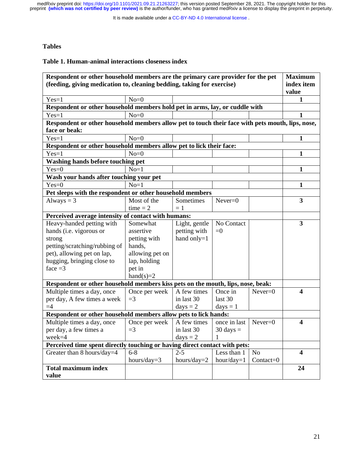It is made available under a [CC-BY-ND 4.0 International license](http://creativecommons.org/licenses/by-nd/4.0/) .

# **Tables**

#### **Table 1. Human-animal interactions closeness index**

| Respondent or other household members are the primary care provider for the pet<br>(feeding, giving medication to, cleaning bedding, taking for exercise) |                           |                   |                     |                | <b>Maximum</b><br>index item |
|-----------------------------------------------------------------------------------------------------------------------------------------------------------|---------------------------|-------------------|---------------------|----------------|------------------------------|
|                                                                                                                                                           | $No=0$                    |                   |                     |                | value<br>1                   |
| $Yes=1$                                                                                                                                                   |                           |                   |                     |                |                              |
| Respondent or other household members hold pet in arms, lay, or cuddle with<br>$Yes=1$                                                                    | $No = 0$                  |                   |                     |                | 1                            |
|                                                                                                                                                           |                           |                   |                     |                |                              |
| Respondent or other household members allow pet to touch their face with pets mouth, lips, nose,<br>face or beak:                                         |                           |                   |                     |                |                              |
| $Yes=1$                                                                                                                                                   | $No=0$                    |                   |                     |                | 1                            |
| Respondent or other household members allow pet to lick their face:                                                                                       |                           |                   |                     |                |                              |
| $Yes=1$                                                                                                                                                   | $No=0$                    |                   |                     |                | $\mathbf{1}$                 |
| Washing hands before touching pet                                                                                                                         |                           |                   |                     |                |                              |
| $Yes=0$                                                                                                                                                   | $No=1$                    |                   |                     |                | 1                            |
| Wash your hands after touching your pet                                                                                                                   |                           |                   |                     |                |                              |
| $Yes=0$                                                                                                                                                   | $No=1$                    |                   |                     |                | $\mathbf{1}$                 |
| Pet sleeps with the respondent or other household members                                                                                                 |                           |                   |                     |                |                              |
| Always $=$ 3                                                                                                                                              | Most of the<br>$time = 2$ | Sometimes<br>$=1$ | $Never=0$           |                | $\overline{\mathbf{3}}$      |
| Perceived average intensity of contact with humans:                                                                                                       |                           |                   |                     |                |                              |
| Heavy-handed petting with                                                                                                                                 | Somewhat                  | Light, gentle     | No Contact          |                | $\overline{\mathbf{3}}$      |
| hands (i.e. vigorous or                                                                                                                                   | assertive                 | petting with      | $= 0$               |                |                              |
| strong                                                                                                                                                    | petting with              | hand only=1       |                     |                |                              |
| petting/scratching/rubbing of                                                                                                                             | hands,                    |                   |                     |                |                              |
| pet), allowing pet on lap,                                                                                                                                | allowing pet on           |                   |                     |                |                              |
| hugging, bringing close to                                                                                                                                | lap, holding              |                   |                     |                |                              |
| face $=3$                                                                                                                                                 | pet in                    |                   |                     |                |                              |
|                                                                                                                                                           | $hand(s)=2$               |                   |                     |                |                              |
| Respondent or other household members kiss pets on the mouth, lips, nose, beak:                                                                           |                           |                   |                     |                |                              |
| Multiple times a day, once                                                                                                                                | Once per week             | A few times       | Once in             | $Never=0$      | $\overline{\mathbf{4}}$      |
| per day, A few times a week                                                                                                                               | $=$ 3                     | in last 30        | last 30             |                |                              |
| $=4$                                                                                                                                                      |                           | $days = 2$        | $days = 1$          |                |                              |
| Respondent or other household members allow pets to lick hands:                                                                                           |                           |                   |                     |                |                              |
| Multiple times a day, once                                                                                                                                | Once per week             | A few times       | once in last        | $Never=0$      | $\blacktriangleleft$         |
| per day, a few times a                                                                                                                                    | $=$ 3                     | in last 30        | $30 \text{ days} =$ |                |                              |
| week=4                                                                                                                                                    |                           | $days = 2$        | 1                   |                |                              |
| Perceived time spent directly touching or having direct contact with pets:                                                                                |                           |                   |                     |                |                              |
| Greater than 8 hours/day=4                                                                                                                                | $6 - 8$                   | $2 - 5$           | Less than 1         | N <sub>o</sub> | $\overline{\mathbf{4}}$      |
|                                                                                                                                                           | hours/day= $3$            | hours/day= $2$    | $hour/day=1$        | $Context=0$    |                              |
| <b>Total maximum index</b>                                                                                                                                |                           |                   |                     |                | 24                           |
| value                                                                                                                                                     |                           |                   |                     |                |                              |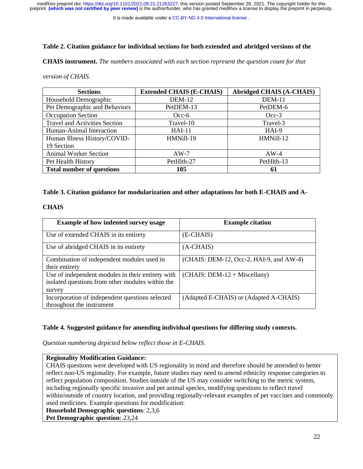It is made available under a [CC-BY-ND 4.0 International license](http://creativecommons.org/licenses/by-nd/4.0/) .

## **Table 2. Citation guidance for individual sections for both extended and abridged versions of the**

**CHAIS instrument.** *The numbers associated with each section represent the question count for that* 

| version of CHAIS. |  |
|-------------------|--|
|-------------------|--|

| <b>Sections</b>                      | <b>Extended CHAIS (E-CHAIS)</b> | <b>Abridged CHAIS (A-CHAIS)</b> |
|--------------------------------------|---------------------------------|---------------------------------|
| Household Demographic                | <b>DEM-12</b>                   | <b>DEM-11</b>                   |
| Pet Demographic and Behaviors        | PetDEM-13                       | PetDEM-6                        |
| <b>Occupation Section</b>            | $Occ-6$                         | $Occ-3$                         |
| <b>Travel and Activities Section</b> | Travel-10                       | Travel-3                        |
| Human-Animal Interaction             | $HAI-11$                        | HAI-9                           |
| Human Illness History/COVID-         | HMNill-19                       | HMNill-12                       |
| 19 Section                           |                                 |                                 |
| <b>Animal Worker Section</b>         | $AW-7$                          | $AW-4$                          |
| Pet Health History                   | PetHlth-27                      | PetHlth-13                      |
| <b>Total number of questions</b>     | 105                             | 61                              |

## **Table 3. Citation guidance for modularization and other adaptations for both E-CHAIS and A-**

# **CHAIS**

| <b>Example of how indented survey usage</b>       | <b>Example citation</b>                 |
|---------------------------------------------------|-----------------------------------------|
| Use of extended CHAIS in its entirety             | (E-CHAIS)                               |
| Use of abridged CHAIS in its entirety             | $(A-CHAIS)$                             |
| Combination of independent modules used in        | (CHAIS: DEM-12, Occ-2, HAI-9, and AW-4) |
| their entirety                                    |                                         |
| Use of independent modules in their entirety with | $(CHAIS: DEM-12 + Miscellany)$          |
| isolated questions from other modules within the  |                                         |
| survey                                            |                                         |
| Incorporation of independent questions selected   | (Adapted E-CHAIS) or (Adapted A-CHAIS)  |
| throughout the instrument                         |                                         |

## **Table 4***.* **Suggested guidance for amending individual questions for differing study contexts.**

*Question numbering depicted below reflect those in E-CHAIS.*

## **Regionality Modification Guidance:**

CHAIS questions were developed with US regionality in mind and therefore should be amended to better reflect non-US regionality. For example, future studies may need to amend ethnicity response categories to reflect population composition. Studies outside of the US may consider switching to the metric system, including regionally specific invasive and pet animal species, modifying questions to reflect travel within/outside of country location, and providing regionally-relevant examples of pet vaccines and commonly used medicines. Example questions for modification:

**Household Demographic questions**: 2,3,6

**Pet Demographic question**: 23,24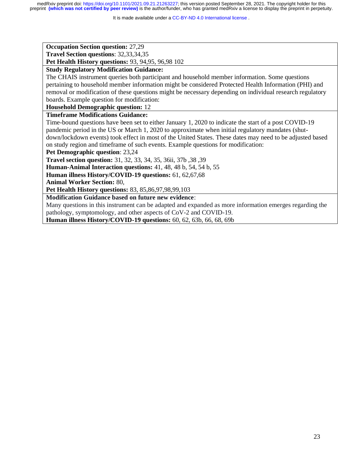It is made available under a [CC-BY-ND 4.0 International license](http://creativecommons.org/licenses/by-nd/4.0/) .

**Occupation Section question:** 27,29

**Travel Section questions**: 32,33,34,35

**Pet Health History questions:** 93, 94,95, 96,98 102

# **Study Regulatory Modification Guidance:**

The CHAIS instrument queries both participant and household member information. Some questions pertaining to household member information might be considered Protected Health Information (PHI) and removal or modification of these questions might be necessary depending on individual research regulatory boards. Example question for modification:

**Household Demographic question:** 12

# **Timeframe Modifications Guidance:**

Time-bound questions have been set to either January 1, 2020 to indicate the start of a post COVID-19 pandemic period in the US or March 1, 2020 to approximate when initial regulatory mandates (shutdown/lockdown events) took effect in most of the United States. These dates may need to be adjusted based on study region and timeframe of such events. Example questions for modification:

**Pet Demographic question**: 23,24

**Travel section question:** 31, 32, 33, 34, 35, 36ii, 37b ,38 ,39

**Human-Animal Interaction questions:** 41, 48, 48 b, 54, 54 b, 55

**Human illness History/COVID-19 questions:** 61, 62,67,68

**Animal Worker Section:** 80,

**Pet Health History questions:** 83, 85,86,97,98,99,103

**Modification Guidance based on future new evidence**:

Many questions in this instrument can be adapted and expanded as more information emerges regarding the pathology, symptomology, and other aspects of CoV-2 and COVID-19.

**Human illness History/COVID-19 questions:** 60, 62, 63b, 66, 68, 69b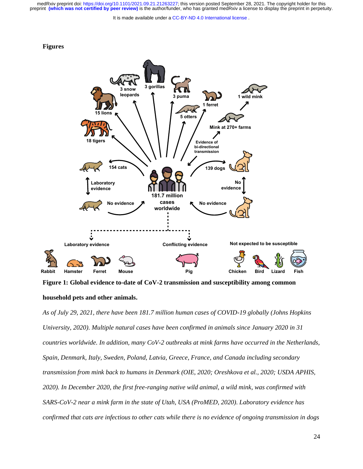It is made available under a [CC-BY-ND 4.0 International license](http://creativecommons.org/licenses/by-nd/4.0/) .





**Figure 1: Global evidence to-date of CoV-2 transmission and susceptibility among common** 

#### **household pets and other animals.**

*As of July 29, 2021, there have been 181.7 million human cases of COVID-19 globally (Johns Hopkins University, 2020). Multiple natural cases have been confirmed in animals since January 2020 in 31 countries worldwide. In addition, many CoV-2 outbreaks at mink farms have occurred in the Netherlands, Spain, Denmark, Italy, Sweden, Poland, Latvia, Greece, France, and Canada including secondary transmission from mink back to humans in Denmark (OIE, 2020; Oreshkova et al., 2020; USDA APHIS, 2020). In December 2020, the first free-ranging native wild animal, a wild mink, was confirmed with SARS-CoV-2 near a mink farm in the state of Utah, USA (ProMED, 2020). Laboratory evidence has confirmed that cats are infectious to other cats while there is no evidence of ongoing transmission in dogs*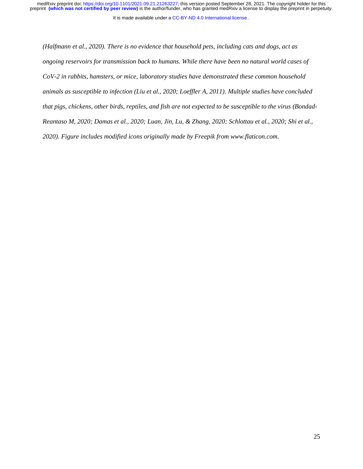It is made available under a [CC-BY-ND 4.0 International license](http://creativecommons.org/licenses/by-nd/4.0/) .

*(Halfmann et al., 2020). There is no evidence that household pets, including cats and dogs, act as ongoing reservoirs for transmission back to humans. While there have been no natural world cases of CoV-2 in rabbits, hamsters, or mice, laboratory studies have demonstrated these common household animals as susceptible to infection (Liu et al., 2020; Loeffler A, 2011). Multiple studies have concluded that pigs, chickens, other birds, reptiles, and fish are not expected to be susceptible to the virus (Bondad-Reantaso M, 2020; Damas et al., 2020; Luan, Jin, Lu, & Zhang, 2020; Schlottau et al., 2020; Shi et al., 2020). Figure includes modified icons originally made by Freepik from www.flaticon.com.*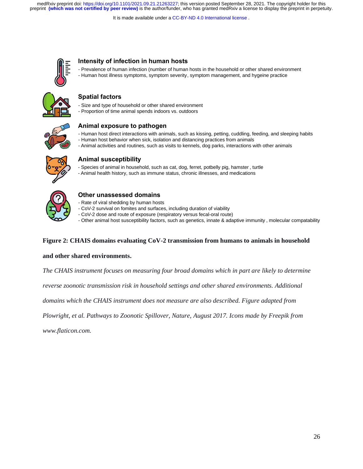It is made available under a [CC-BY-ND 4.0 International license](http://creativecommons.org/licenses/by-nd/4.0/) .



# **Intensity of infection in human hosts**

- Prevalence of human infection (number of human hosts in the household or other shared environment - Human host illness symptoms, symptom severity, symptom management, and hygeine practice



## **Spatial factors**

- Size and type of household or other shared environment
- Proportion of time animal spends indoors vs. outdoors



## **Animal exposure to pathogen**

- Human host direct interactions with animals, such as kissing, petting, cuddling, feeding, and sleeping habits
- Human host behavior when sick, isolation and distancing practices from animals
- Animal activities and routines, such as visits to kennels, dog parks, interactions with other animals



## **Animal susceptibility**

- Species of animal in household, such as cat, dog, ferret, potbelly pig, hamster , turtle
- Animal health history, such as immune status, chronic illnesses, and medications



# **Other unassessed domains**

- Rate of viral shedding by human hosts
- CoV-2 survival on fomites and surfaces, including duration of viability
- CoV-2 dose and route of exposure (respiratory versus fecal-oral route)
- Other animal host susceptibility factors, such as genetics, innate & adaptive immunity , molecular compatability

## **Figure 2: CHAIS domains evaluating CoV-2 transmission from humans to animals in household**

## **and other shared environments.**

*The CHAIS instrument focuses on measuring four broad domains which in part are likely to determine* 

*reverse zoonotic transmission risk in household settings and other shared environments. Additional* 

*domains which the CHAIS instrument does not measure are also described. Figure adapted from* 

*Plowright, et al. Pathways to Zoonotic Spillover, Nature, August 2017. Icons made by Freepik from* 

*www.flaticon.com.*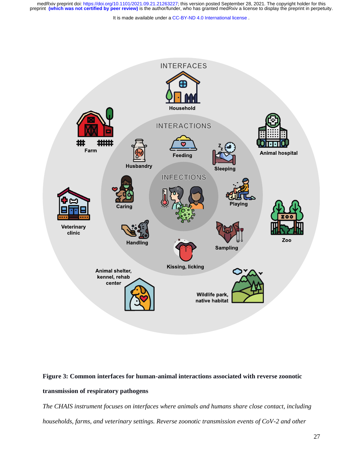It is made available under a [CC-BY-ND 4.0 International license](http://creativecommons.org/licenses/by-nd/4.0/) .



# **Figure 3: Common interfaces for human-animal interactions associated with reverse zoonotic transmission of respiratory pathogens**

*The CHAIS instrument focuses on interfaces where animals and humans share close contact, including households, farms, and veterinary settings. Reverse zoonotic transmission events of CoV-2 and other*